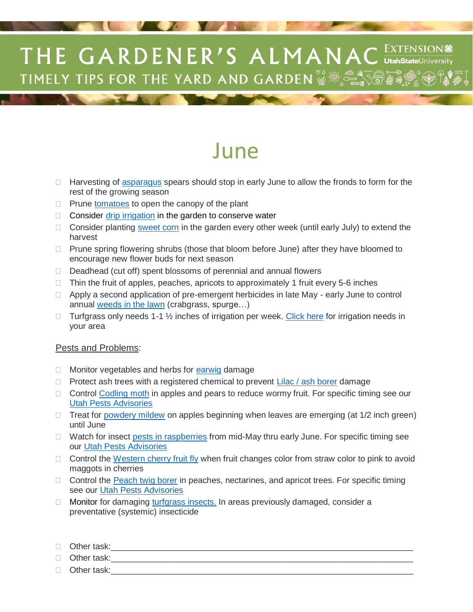## THE GARDENER'S ALMANAC EXTENSION # **TIMELY TIPS FOR THE YARD AND GARDEN** WE SAY THE

## June

- $\Box$  Harvesting of [asparagus](http://digitalcommons.usu.edu/cgi/viewcontent.cgi?article=1238&context=extension_curall) spears should stop in early June to allow the fronds to form for the rest of the growing season
- $\Box$  Prune [tomatoes](http://digitalcommons.usu.edu/cgi/viewcontent.cgi?article=1237&context=extension_curall) to open the canopy of the plant
- $\Box$  Consider [drip irrigation](http://digitalcommons.usu.edu/cgi/viewcontent.cgi?article=2054&context=extension_curall) in the garden to conserve water
- $\Box$  Consider planting [sweet corn](http://digitalcommons.usu.edu/cgi/viewcontent.cgi?article=1244&context=extension_curall) in the garden every other week (until early July) to extend the harvest
- $\Box$  Prune spring flowering shrubs (those that bloom before June) after they have bloomed to encourage new flower buds for next season
- $\Box$  Deadhead (cut off) spent blossoms of perennial and annual flowers
- $\Box$  Thin the fruit of apples, peaches, apricots to approximately 1 fruit every 5-6 inches
- $\Box$  Apply a second application of pre-emergent herbicides in late May early June to control annual [weeds in the lawn](http://digitalcommons.usu.edu/cgi/viewcontent.cgi?article=1829&context=extension_curall) (crabgrass, spurge…)
- $\Box$  Turfgrass only needs 1-1  $\frac{1}{2}$  inches of irrigation per week. [Click here](http://slowtheflow.org/index.php/lawn-watering-guide) for irrigation needs in your area

## Pests and Problems:

- □ Monitor vegetables and herbs for [earwig](http://digitalcommons.usu.edu/cgi/viewcontent.cgi?article=1898&context=extension_curall) damage
- $\Box$  Protect ash trees with a registered chemical to prevent [Lilac / ash borer](http://digitalcommons.usu.edu/cgi/viewcontent.cgi?article=1920&context=extension_curall) damage
- $\Box$  Control [Codling moth](http://digitalcommons.usu.edu/cgi/viewcontent.cgi?article=1879&context=extension_curall) in apples and pears to reduce wormy fruit. For specific timing see our [Utah Pests Advisories](http://utahpests.usu.edu/IPM/htm/advisories)
- $\Box$  Treat for [powdery mildew](http://utahpests.usu.edu/ipm/htm/ornamentals/landscape-insects-and-diseases/mildew/) on apples beginning when leaves are emerging (at 1/2 inch green) until June
- $\Box$  Watch for insect [pests in raspberries](http://digitalcommons.usu.edu/cgi/viewcontent.cgi?article=1978&context=extension_curall) from mid-May thru early June. For specific timing see our [Utah Pests Advisories](http://utahpests.usu.edu/IPM/htm/advisories)
- $\Box$  Control the [Western cherry fruit fly](http://digitalcommons.usu.edu/cgi/viewcontent.cgi?article=1661&context=extension_curall) when fruit changes color from straw color to pink to avoid maggots in cherries
- □ Control the [Peach twig borer](http://digitalcommons.usu.edu/cgi/viewcontent.cgi?article=1652&context=extension_curall) in peaches, nectarines, and apricot trees. For specific timing see our [Utah Pests Advisories](http://utahpests.usu.edu/IPM/htm/advisories)
- $\Box$  Monitor for damaging [turfgrass insects.](http://digitalcommons.usu.edu/cgi/viewcontent.cgi?article=1974&context=extension_curall) In areas previously damaged, consider a preventative (systemic) insecticide
- $\Box$  Other task:

 $\Box$  Other task:

 $\Box$  Other task: